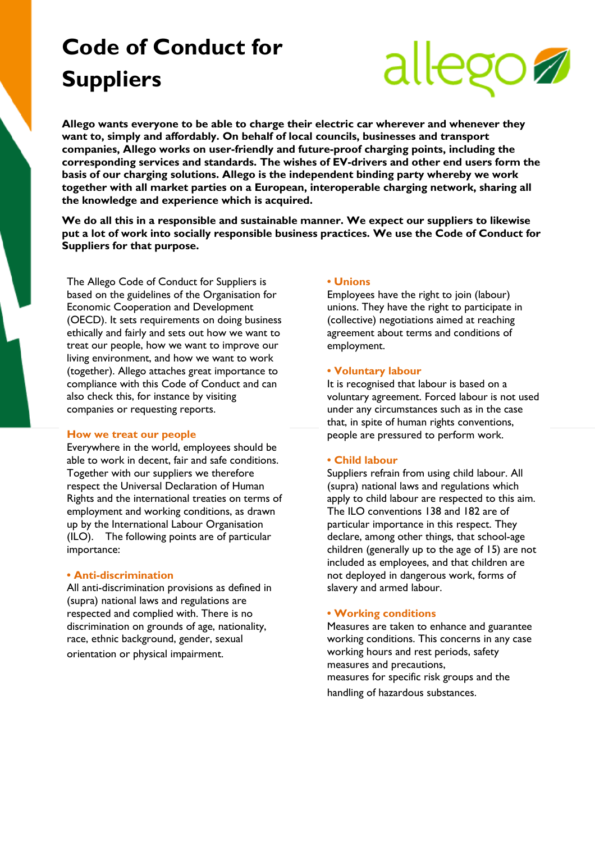# **Code of Conduct for Suppliers**



**Allego wants everyone to be able to charge their electric car wherever and whenever they want to, simply and affordably. On behalf of local councils, businesses and transport companies, Allego works on user-friendly and future-proof charging points, including the corresponding services and standards. The wishes of EV-drivers and other end users form the basis of our charging solutions. Allego is the independent binding party whereby we work together with all market parties on a European, interoperable charging network, sharing all the knowledge and experience which is acquired.**

**We do all this in a responsible and sustainable manner. We expect our suppliers to likewise put a lot of work into socially responsible business practices. We use the Code of Conduct for Suppliers for that purpose.**

The Allego Code of Conduct for Suppliers is based on the guidelines of the Organisation for Economic Cooperation and Development (OECD). It sets requirements on doing business ethically and fairly and sets out how we want to treat our people, how we want to improve our living environment, and how we want to work (together). Allego attaches great importance to compliance with this Code of Conduct and can also check this, for instance by visiting companies or requesting reports.

#### **How we treat our people**

Everywhere in the world, employees should be able to work in decent, fair and safe conditions. Together with our suppliers we therefore respect the Universal Declaration of Human Rights and the international treaties on terms of employment and working conditions, as drawn up by the International Labour Organisation (ILO). The following points are of particular importance:

# **• Anti-discrimination**

All anti-discrimination provisions as defined in (supra) national laws and regulations are respected and complied with. There is no discrimination on grounds of age, nationality, race, ethnic background, gender, sexual orientation or physical impairment.

# **• Unions**

Employees have the right to join (labour) unions. They have the right to participate in (collective) negotiations aimed at reaching agreement about terms and conditions of employment.

#### **• Voluntary labour**

It is recognised that labour is based on a voluntary agreement. Forced labour is not used under any circumstances such as in the case that, in spite of human rights conventions, people are pressured to perform work.

#### **• Child labour**

Suppliers refrain from using child labour. All (supra) national laws and regulations which apply to child labour are respected to this aim. The ILO conventions 138 and 182 are of particular importance in this respect. They declare, among other things, that school-age children (generally up to the age of 15) are not included as employees, and that children are not deployed in dangerous work, forms of slavery and armed labour.

#### **• Working conditions**

Measures are taken to enhance and guarantee working conditions. This concerns in any case working hours and rest periods, safety measures and precautions, measures for specific risk groups and the handling of hazardous substances.